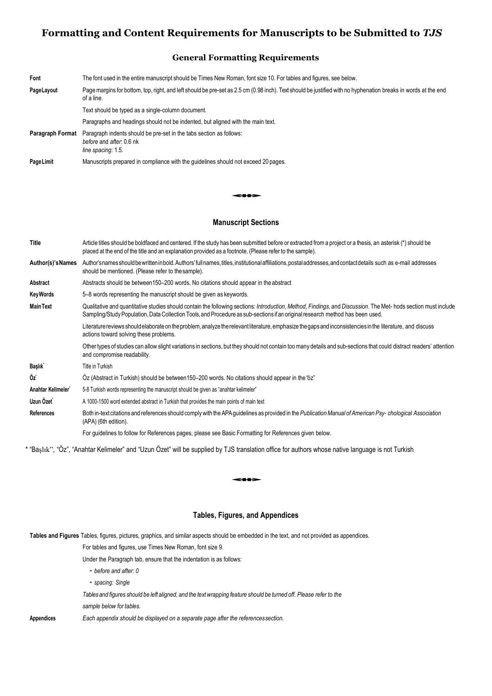# **Formatting and Content Requirements for Manuscripts to be Submitted to** *TJS*

## **General Formatting Requirements**

| Font             | The font used in the entire manuscript should be Times New Roman, font size 10. For tables and figures, see below.                                                           |
|------------------|------------------------------------------------------------------------------------------------------------------------------------------------------------------------------|
| PageLayout       | Page margins for bottom, top, right, and left should be pre-set as 2.5 cm (0.98 inch). Text should be justified with no hyphenation breaks in words at the end<br>of a line. |
|                  | Text should be typed as a single-column document.                                                                                                                            |
|                  | Paragraphs and headings should not be indented, but aligned with the main text.                                                                                              |
| Paragraph Format | Paragraph indents should be pre-set in the tabs section as follows:<br>before and after: 0.6 nk<br>line spacing: 1.5.                                                        |
| Page Limit       | Manuscripts prepared in compliance with the quidelines should not exceed 20 pages.                                                                                           |
|                  |                                                                                                                                                                              |

### **Manuscript Sections**

| <b>Title</b>        | Article titles should be boldfaced and centered. If the study has been submitted before or extracted from a project or a thesis, an asterisk (*) should be<br>placed at the end of the title and an explanation provided as a footnote. (Please refer to the sample).                          |  |  |
|---------------------|------------------------------------------------------------------------------------------------------------------------------------------------------------------------------------------------------------------------------------------------------------------------------------------------|--|--|
| Author(s)'s Names   | Author'snamesshould be written in bold. Authors' full names, titles, institutional affiliations, postal addresses, and contact details such as e-mail addresses<br>should be mentioned. (Please refer to the sample).                                                                          |  |  |
| Abstract            | Abstracts should be between150–200 words. No citations should appear in the abstract                                                                                                                                                                                                           |  |  |
| <b>KeyWords</b>     | 5–8 words representing the manuscript should be given as keywords.                                                                                                                                                                                                                             |  |  |
| <b>Main Text</b>    | Qualitative and quantitative studies should contain the following sections: Introduction, Method, Findings, and Discussion. The Met-hods section must include<br>Sampling/Study Population, Data Collection Tools, and Procedure as sub-sections if an original research method has been used. |  |  |
|                     | Literature reviews should elaborate on the problem, analyze the relevant literature, emphasize the gaps and inconsistencies in the literature, and discuss<br>actions toward solving these problems.                                                                                           |  |  |
|                     | Other types of studies can allow slight variations in sections, but they should not contain too many details and sub-sections that could distract readers' attention<br>and compromise readability.                                                                                            |  |  |
| Başlık <sup>*</sup> | Title in Turkish                                                                                                                                                                                                                                                                               |  |  |
| Öz                  | Oz (Abstract in Turkish) should be between 150–200 words. No citations should appear in the "oz"                                                                                                                                                                                               |  |  |
| Anahtar Kelimeler   | 5-8 Turkish words representing the manuscript should be given as "anahtar kelimeler"                                                                                                                                                                                                           |  |  |
| Uzun Özet           | A 1000-1500 word extended abstract in Turkish that provides the main points of main text                                                                                                                                                                                                       |  |  |
| <b>References</b>   | Both in-text citations and references should comply with the APA guidelines as provided in the Publication Manual of American Psy-chological Association<br>(APA) (6th edition).                                                                                                               |  |  |
|                     | For guidelines to follow for References pages, please see Basic Formatting for References given below.                                                                                                                                                                                         |  |  |

\* "Başlık", "Öz", "Anahtar Kelimeler" and "Uzun Özet" will be supplied by TJS translation office for authors whose native language is not Turkish<br>

### **Tables, Figures, and Appendices**

**Tables and Figures** Tables, figures, pictures, graphics, and similar aspects should be embedded in the text, and not provided as appendices.

For tables and figures, use Times New Roman, font size 9.

Under the Paragraph tab, ensure that the indentation is as follows:

• *before and after: 0*

• *spacing: Single*

*Tablesand figures should be left aligned, and the textwrapping feature should be turned off. Please refer to the* 

*sample below for tables.*

**Appendices** *Each appendix should be displayed on a separate page after the referencessection.*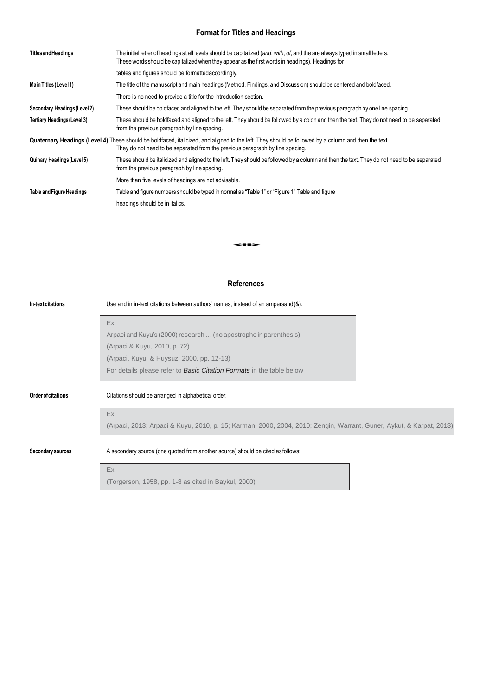## **Format for Titles and Headings**

| <b>TitlesandHeadings</b>           | The initial letter of headings at all levels should be capitalized (and, with, of, and the are always typed in small letters.<br>These words should be capitalized when they appear as the first words in headings). Headings for     |
|------------------------------------|---------------------------------------------------------------------------------------------------------------------------------------------------------------------------------------------------------------------------------------|
|                                    | tables and figures should be formatted accordingly.                                                                                                                                                                                   |
| Main Titles (Level 1)              | The title of the manuscript and main headings (Method, Findings, and Discussion) should be centered and boldfaced.                                                                                                                    |
|                                    | There is no need to provide a title for the introduction section.                                                                                                                                                                     |
| Secondary Headings (Level 2)       | These should be boldfaced and aligned to the left. They should be separated from the previous paragraph by one line spacing.                                                                                                          |
| <b>Tertiary Headings (Level 3)</b> | These should be boldfaced and aligned to the left. They should be followed by a colon and then the text. They do not need to be separated<br>from the previous paragraph by line spacing.                                             |
|                                    | Quaternary Headings (Level 4) These should be boldfaced, italicized, and aligned to the left. They should be followed by a column and then the text.<br>They do not need to be separated from the previous paragraph by line spacing. |
| <b>Quinary Headings (Level 5)</b>  | These should be italicized and aligned to the left. They should be followed by a column and then the text. They do not need to be separated<br>from the previous paragraph by line spacing.                                           |
|                                    | More than five levels of headings are not advisable.                                                                                                                                                                                  |
| <b>Table and Figure Headings</b>   | Table and figure numbers should be typed in normal as "Table 1" or "Figure 1" Table and figure                                                                                                                                        |
|                                    | headings should be in italics.                                                                                                                                                                                                        |
|                                    |                                                                                                                                                                                                                                       |
|                                    |                                                                                                                                                                                                                                       |
|                                    |                                                                                                                                                                                                                                       |
|                                    |                                                                                                                                                                                                                                       |

## **References**

| In-text citations         | Use and in in-text citations between authors' names, instead of an ampersand (&).                                   |  |  |  |
|---------------------------|---------------------------------------------------------------------------------------------------------------------|--|--|--|
|                           | Ex:                                                                                                                 |  |  |  |
|                           | Arpaci and Kuyu's (2000) research  (no apostrophe in parenthesis)                                                   |  |  |  |
|                           | (Arpaci & Kuyu, 2010, p. 72)                                                                                        |  |  |  |
|                           | (Arpaci, Kuyu, & Huysuz, 2000, pp. 12-13)                                                                           |  |  |  |
|                           | For details please refer to <b>Basic Citation Formats</b> in the table below                                        |  |  |  |
| <b>Order of citations</b> | Citations should be arranged in alphabetical order.                                                                 |  |  |  |
|                           | Ex:                                                                                                                 |  |  |  |
|                           | (Arpaci, 2013; Arpaci & Kuyu, 2010, p. 15; Karman, 2000, 2004, 2010; Zengin, Warrant, Guner, Aykut, & Karpat, 2013) |  |  |  |
| Secondary sources         | A secondary source (one quoted from another source) should be cited as follows:                                     |  |  |  |
|                           | Ex:                                                                                                                 |  |  |  |

(Torgerson, 1958, pp. 1-8 as cited in Baykul, 2000)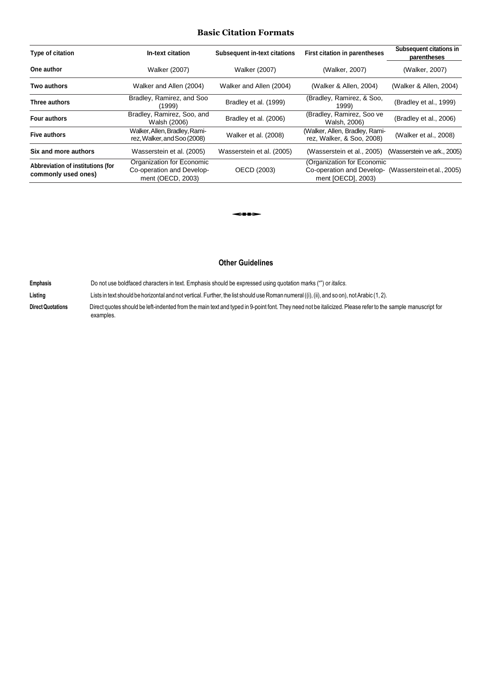## **Basic Citation Formats**

| Type of citation                                         | In-text citation                                                            | <b>Subsequent in-text citations</b> | <b>First citation in parentheses</b>                                                                     | Subsequent citations in<br>parentheses |
|----------------------------------------------------------|-----------------------------------------------------------------------------|-------------------------------------|----------------------------------------------------------------------------------------------------------|----------------------------------------|
| One author                                               | <b>Walker (2007)</b>                                                        | <b>Walker (2007)</b>                | (Walker, 2007)                                                                                           | (Walker, 2007)                         |
| <b>Two authors</b>                                       | Walker and Allen (2004)                                                     | Walker and Allen (2004)             | (Walker & Allen, 2004)                                                                                   | (Walker & Allen, 2004)                 |
| Three authors                                            | Bradley, Ramirez, and Soo<br>(1999)                                         | Bradley et al. (1999)               | (Bradley, Ramirez, & Soo,<br>1999)                                                                       | (Bradley et al., 1999)                 |
| <b>Four authors</b>                                      | Bradley, Ramirez, Soo, and<br>Walsh (2006)                                  | Bradley et al. (2006)               | (Bradley, Ramirez, Soo ve<br>Walsh, 2006)                                                                | (Bradley et al., 2006)                 |
| <b>Five authors</b>                                      | Walker, Allen, Bradley, Rami-<br>rez, Walker, and Soo (2008)                | Walker et al. (2008)                | (Walker, Allen, Bradley, Rami-<br>rez, Walker, & Soo, 2008)                                              | (Walker et al., 2008)                  |
| Six and more authors                                     | Wasserstein et al. (2005)                                                   | Wasserstein et al. (2005)           | (Wasserstein et al., 2005)                                                                               | (Wasserstein ve ark., 2005)            |
| Abbreviation of institutions (for<br>commonly used ones) | Organization for Economic<br>Co-operation and Develop-<br>ment (OECD, 2003) | OECD (2003)                         | (Organization for Economic<br>Co-operation and Develop- (Wasserstein et al., 2005)<br>ment [OECD], 2003) |                                        |
|                                                          |                                                                             |                                     |                                                                                                          |                                        |
|                                                          |                                                                             | ---                                 |                                                                                                          |                                        |
|                                                          |                                                                             |                                     |                                                                                                          |                                        |

## **Other Guidelines**

**Emphasis** Do not use boldfaced characters in text. Emphasis should be expressed using quotation marks ("") or *italics*.

Listing Lists in text should be horizontal and not vertical. Further, the list should use Roman numeral ((i), (ii), and so on), not Arabic (1, 2).

Direct Quotations **Direct quotes should be left-indented from the main text and typed in 9-point font. They need not be italicized. Please refer to the sample manuscript for** examples.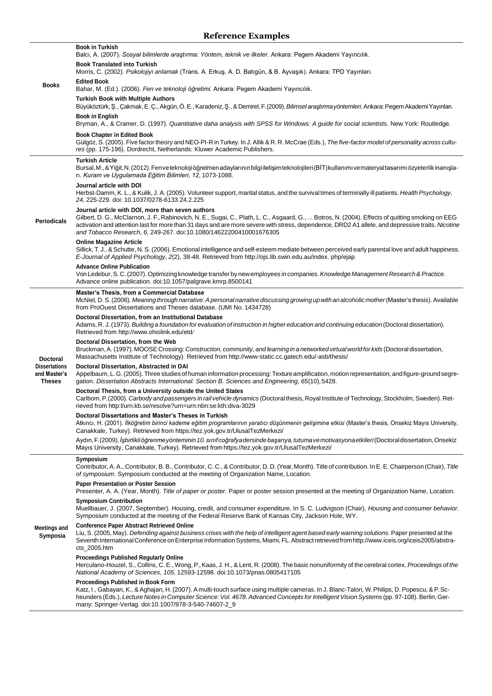# **Reference Examples**

|                                                       | <b>Book in Turkish</b><br>Balcı, A. (2007). Sosyal bilimlerde araştırma: Yöntem, teknik ve ilkeler. Ankara: Pegem Akademi Yayıncılık.                                                                                                                                                                                                                                                                                            |
|-------------------------------------------------------|----------------------------------------------------------------------------------------------------------------------------------------------------------------------------------------------------------------------------------------------------------------------------------------------------------------------------------------------------------------------------------------------------------------------------------|
|                                                       | <b>Book Translated into Turkish</b>                                                                                                                                                                                                                                                                                                                                                                                              |
|                                                       | Morris, C. (2002). Psikolojiyi anlamak (Trans. A. Erkuş, A. D. Batıgün, & B. Ayvaşık). Ankara: TPD Yayınları.<br><b>Edited Book</b>                                                                                                                                                                                                                                                                                              |
| <b>Books</b>                                          | Bahar, M. (Ed.). (2006). Fen ve teknoloji öğretimi. Ankara: Pegem Akademi Yayıncılık.                                                                                                                                                                                                                                                                                                                                            |
|                                                       | <b>Turkish Book with Multiple Authors</b><br>Büyüköztürk, Ş., Çakmak, E. Ç., Akgün, Ö. E., Karadeniz, Ş., & Demirel, F. (2009). Bilimsel araştırma yöntemleri. Ankara: Pegem Akademi Yayınları.                                                                                                                                                                                                                                  |
|                                                       | <b>Book in English</b><br>Bryman, A., & Cramer, D. (1997). Quantitative daha analysis with SPSS for Windows: A quide for social scientists. New York: Routledge.                                                                                                                                                                                                                                                                 |
|                                                       | <b>Book Chapter in Edited Book</b><br>Gülgöz, S. (2005). Five factor theory and NEO-PI-R in Turkey. In J. Allik & R. R. McCrae (Eds.), The five-factor model of personality across cultu-<br>res (pp. 175-196). Dordrecht, Netherlands: Kluwer Academic Publishers.                                                                                                                                                              |
|                                                       | <b>Turkish Article</b><br>Bursal, M., & Yiğit, N. (2012). Fenveteknoloji öğretmenadaylarının bilgi iletişim teknolojileri (BİT) kullanımı vemateryal tasarımı özyeterlik inanışla-<br>rı. Kuram ve Uygulamada Eğitim Bilimleri, 12, 1073-1088.                                                                                                                                                                                   |
| <b>Periodicals</b>                                    | Journal article with DOI<br>Herbst-Damm, K. L., & Kulik, J. A. (2005). Volunteer support, marital status, and the survival times of terminally ill patients. Health Psychology,<br>24, 225-229. doi: 10.1037/0278-6133.24.2.225                                                                                                                                                                                                  |
|                                                       | Journal article with DOI, more than seven authors<br>Gilbert, D. G., McClarnon, J. F., Rabinovich, N. E., Sugai, C., Plath, L. C., Asgaard, G.,  Botros, N. (2004). Effects of quitting smoking on EEG<br>activation and attention last for more than 31 days and are more severe with stress, dependence, DRD2 A1 allele, and depressive traits. Nicotine<br>and Tobacco Research, 6, 249-267. doi:10.1080/14622200410001676305 |
|                                                       | <b>Online Magazine Article</b><br>Sillick, T. J., & Schutte, N. S. (2006). Emotional intelligence and self-esteem mediate between perceived early parental love and adult happiness.<br>E-Journal of Applied Psychology, 2(2), 38-48. Retrieved from http://ojs.lib.swin.edu.au/index. php/ejap                                                                                                                                  |
|                                                       | <b>Advance Online Publication</b><br>Von Ledebur, S. C. (2007). Optimizing knowledge transfer by new employees in companies. Knowledge Management Research & Practice.<br>Advance online publication. doi:10.1057/palgrave.kmrp.8500141                                                                                                                                                                                          |
|                                                       | Master's Thesis, from a Commercial Database<br>McNiel, D. S. (2006). Meaning through narrative: A personal narrative discussing growing up with an alcoholic mother (Master's thesis). Available<br>from ProOuest Dissertations and Theses database. (UMI No. 1434728)                                                                                                                                                           |
|                                                       | Doctoral Dissertation, from an Institutional Database<br>Adams, R. J. (1973). Building a foundation for evaluation of instruction in higher education and continuing education (Doctoral dissertation).<br>Retrieved from http://www.ohiolink.edu/etd/                                                                                                                                                                           |
| Doctoral                                              | Doctoral Dissertation, from the Web<br>Bruckman, A. (1997). MOOSE Crossing: Construction, community, and learning in a networked virtual world for kids (Doctoral dissertation,<br>Massachusetts Institute of Technology). Retrieved from http://www-static.cc.gatech.edu/-asb/thesis/                                                                                                                                           |
| <b>Dissertations</b><br>and Master's<br><b>Theses</b> | Doctoral Dissertation, Abstracted in DAI<br>Appelbaum, L. G. (2005). Three studies of human information processing: Texture amplification, motion representation, and figure-ground segre-<br>gation. Dissertation Abstracts International: Section B. Sciences and Engineering, 65(10), 5428.                                                                                                                                   |
|                                                       | Doctoral Thesis, from a University outside the United States<br>Carlbom, P. (2000). Carbody and passengers in rail vehicle dynamics (Doctoral thesis, Royal Institute of Technology, Stockholm, Sweden). Ret-<br>rieved from http://urn.kb.se/resolve?urn=urn:nbn:se:kth:diva-3029                                                                                                                                               |
|                                                       | Doctoral Dissertations and Master's Theses in Turkish<br>Atkıncı, H. (2001). İlköğretim birinci kademe eğitim programlarının yaratıcı düşünmenin gelişimine etkisi (Master's thesis, Onsekiz Mayıs University,<br>Canakkale, Turkey). Retrieved from https://tez.yok.gov.tr/UlusalTezMerkezi/                                                                                                                                    |
|                                                       | Aydın, F. (2009). İşbirlikli öğrenme yönteminin 10. sınıf coğrafya dersinde başarıya, tutuma ve motivasyona etkileri (Doctoral dissertation, Onsekiz<br>Mayıs University, Canakkale, Turkey). Retrieved from https://tez.yok.gov.tr/UlusalTezMerkezi/                                                                                                                                                                            |
|                                                       | Symposium<br>Contributor, A. A., Contributor, B. B., Contributor, C. C., & Contributor, D. D. (Year, Month). Title of contribution. In E. E. Chairperson (Chair), Title<br>of symposium. Symposium conducted at the meeting of Organization Name, Location.                                                                                                                                                                      |
| <b>Meetings and</b><br>Symposia                       | <b>Paper Presentation or Poster Session</b><br>Presenter, A. A. (Year, Month). Title of paper or poster. Paper or poster session presented at the meeting of Organization Name, Location.                                                                                                                                                                                                                                        |
|                                                       | <b>Symposium Contribution</b><br>Muellbauer, J. (2007, September). Housing, credit, and consumer expenditure. In S. C. Ludvigson (Chair), Housing and consumer behavior.<br>Symposium conducted at the meeting of the Federal Reserve Bank of Kansas City, Jackson Hole, WY.                                                                                                                                                     |
|                                                       | <b>Conference Paper Abstract Retrieved Online</b><br>Liu, S. (2005, May). Defending against business crises with the help of intelligent agent based early warning solutions. Paper presented at the<br>Seventh International Conference on Enterprise Information Systems, Miami, FL. Abstract retrieved from http://www.iceis.org/iceis2005/abstra-<br>cts_2005.htm                                                            |
|                                                       | <b>Proceedings Published Regularly Online</b><br>Herculano-Houzel, S., Collins, C. E., Wong, P., Kaas, J. H., & Lent, R. (2008). The basic nonuniformity of the cerebral cortex. Proceedings of the<br>National Academy of Sciences, 105, 12593-12598. doi:10.1073/pnas.0805417105                                                                                                                                               |
|                                                       | Proceedings Published in Book Form<br>Katz, I., Gabayan, K., & Aghajan, H. (2007). A multi-touch surface using multiple cameras. In J. Blanc-Talon, W. Philips, D. Popescu, & P. Sc-<br>heunders (Eds.), Lecture Notes in Computer Science: Vol. 4678. Advanced Concepts for Intelligent Vision Systems (pp. 97-108). Berlin, Ger-                                                                                               |

many: Springer-Verlag. doi:10.1007/978-3-540-74607-2\_9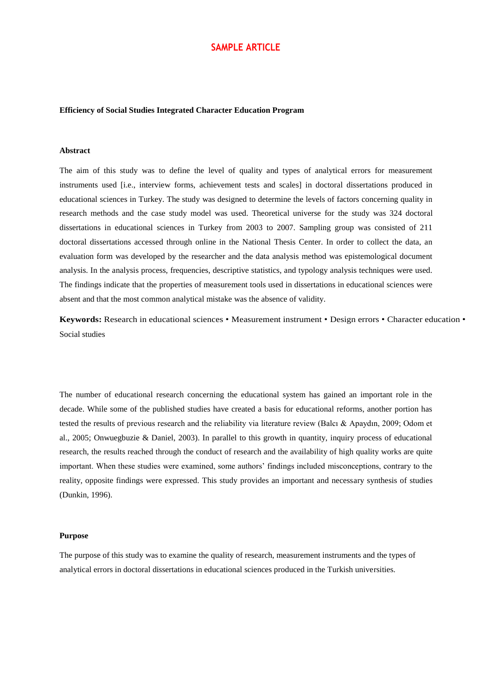### **Efficiency of Social Studies Integrated Character Education Program**

### **Abstract**

The aim of this study was to define the level of quality and types of analytical errors for measurement instruments used [i.e., interview forms, achievement tests and scales] in doctoral dissertations produced in educational sciences in Turkey. The study was designed to determine the levels of factors concerning quality in research methods and the case study model was used. Theoretical universe for the study was 324 doctoral dissertations in educational sciences in Turkey from 2003 to 2007. Sampling group was consisted of 211 doctoral dissertations accessed through online in the National Thesis Center. In order to collect the data, an evaluation form was developed by the researcher and the data analysis method was epistemological document analysis. In the analysis process, frequencies, descriptive statistics, and typology analysis techniques were used. The findings indicate that the properties of measurement tools used in dissertations in educational sciences were absent and that the most common analytical mistake was the absence of validity.

**Keywords:** Research in educational sciences • Measurement instrument • Design errors • Character education • Social studies

The number of educational research concerning the educational system has gained an important role in the decade. While some of the published studies have created a basis for educational reforms, another portion has tested the results of previous research and the reliability via literature review (Balcı & Apaydın, 2009; Odom et al., 2005; Onwuegbuzie & Daniel, 2003). In parallel to this growth in quantity, inquiry process of educational research, the results reached through the conduct of research and the availability of high quality works are quite important. When these studies were examined, some authors' findings included misconceptions, contrary to the reality, opposite findings were expressed. This study provides an important and necessary synthesis of studies (Dunkin, 1996).

#### **Purpose**

The purpose of this study was to examine the quality of research, measurement instruments and the types of analytical errors in doctoral dissertations in educational sciences produced in the Turkish universities.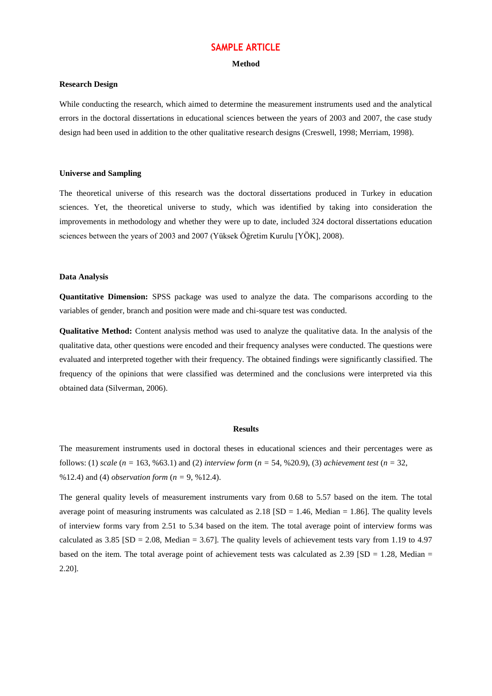#### **Method**

### **Research Design**

While conducting the research, which aimed to determine the measurement instruments used and the analytical errors in the doctoral dissertations in educational sciences between the years of 2003 and 2007, the case study design had been used in addition to the other qualitative research designs (Creswell, 1998; Merriam, 1998).

#### **Universe and Sampling**

The theoretical universe of this research was the doctoral dissertations produced in Turkey in education sciences. Yet, the theoretical universe to study, which was identified by taking into consideration the improvements in methodology and whether they were up to date, included 324 doctoral dissertations education sciences between the years of 2003 and 2007 (Yüksek Öğretim Kurulu [YÖK], 2008).

### **Data Analysis**

**Quantitative Dimension:** SPSS package was used to analyze the data. The comparisons according to the variables of gender, branch and position were made and chi-square test was conducted.

**Qualitative Method:** Content analysis method was used to analyze the qualitative data. In the analysis of the qualitative data, other questions were encoded and their frequency analyses were conducted. The questions were evaluated and interpreted together with their frequency. The obtained findings were significantly classified. The frequency of the opinions that were classified was determined and the conclusions were interpreted via this obtained data (Silverman, 2006).

#### **Results**

The measurement instruments used in doctoral theses in educational sciences and their percentages were as follows: (1) *scale* (*n =* 163, %63.1) and (2) *interview form* (*n =* 54, %20.9), (3) *achievement test* (*n =* 32, %12.4) and (4) *observation form* (*n =* 9, %12.4).

The general quality levels of measurement instruments vary from 0.68 to 5.57 based on the item. The total average point of measuring instruments was calculated as  $2.18$  (SD = 1.46, Median = 1.86). The quality levels of interview forms vary from 2.51 to 5.34 based on the item. The total average point of interview forms was calculated as 3.85 [SD = 2.08, Median = 3.67]. The quality levels of achievement tests vary from 1.19 to 4.97 based on the item. The total average point of achievement tests was calculated as  $2.39$  [SD = 1.28, Median = 2.20].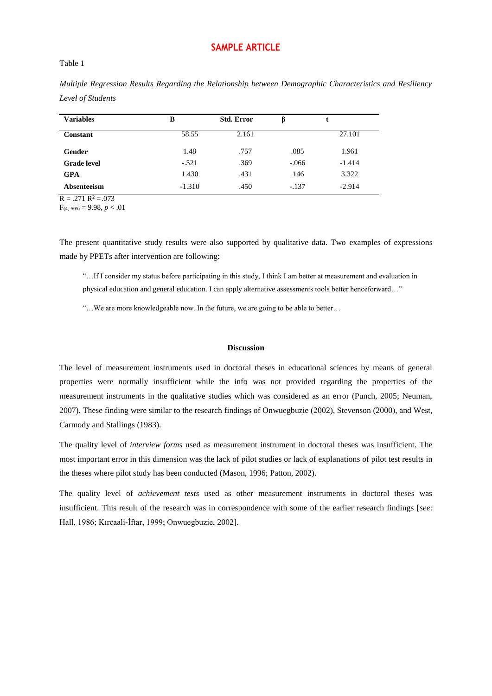### Table 1

| <b>Variables</b>   | B        | <b>Std. Error</b> | ß       |          |
|--------------------|----------|-------------------|---------|----------|
| Constant           | 58.55    | 2.161             |         | 27.101   |
| Gender             | 1.48     | .757              | .085    | 1.961    |
| <b>Grade</b> level | $-.521$  | .369              | $-.066$ | $-1.414$ |
| <b>GPA</b>         | 1.430    | .431              | .146    | 3.322    |
| Absenteeism        | $-1.310$ | .450              | $-.137$ | $-2.914$ |

*Multiple Regression Results Regarding the Relationship between Demographic Characteristics and Resiliency Level of Students*

 $R = .271 R^2 = .073$ 

 $F_{(4, 505)} = 9.98, p < .01$ 

The present quantitative study results were also supported by qualitative data. Two examples of expressions made by PPETs after intervention are following:

"…If I consider my status before participating in this study, I think I am better at measurement and evaluation in physical education and general education. I can apply alternative assessments tools better henceforward…"

"…We are more knowledgeable now. In the future, we are going to be able to better…

### **Discussion**

The level of measurement instruments used in doctoral theses in educational sciences by means of general properties were normally insufficient while the info was not provided regarding the properties of the measurement instruments in the qualitative studies which was considered as an error (Punch, 2005; Neuman, 2007). These finding were similar to the research findings of Onwuegbuzie (2002), Stevenson (2000), and West, Carmody and Stallings (1983).

The quality level of *interview forms* used as measurement instrument in doctoral theses was insufficient. The most important error in this dimension was the lack of pilot studies or lack of explanations of pilot test results in the theses where pilot study has been conducted (Mason, 1996; Patton, 2002).

The quality level of *achievement tests* used as other measurement instruments in doctoral theses was insufficient. This result of the research was in correspondence with some of the earlier research findings [*see*: Hall, 1986; Kırcaali-İftar, 1999; Onwuegbuzie, 2002].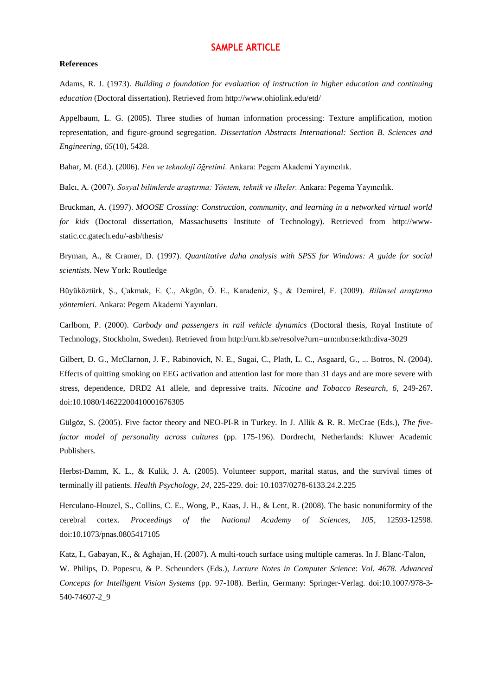#### **References**

Adams, R. J. (1973). *Building a foundation for evaluation of instruction in higher education and continuing education* (Doctoral dissertation). Retrieved from<http://www.ohiolink.edu/etd/>

Appelbaum, L. G. (2005). Three studies of human information processing: Texture amplification, motion representation, and figure-ground segregation. *Dissertation Abstracts International: Section B. Sciences and Engineering*, *65*(10), 5428.

Bahar, M. (Ed.). (2006). *Fen ve teknoloji öğretimi*. Ankara: Pegem Akademi Yayıncılık.

Balcı, A. (2007). *Sosyal bilimlerde araştırma: Yöntem, teknik ve ilkeler.* Ankara: Pegema Yayıncılık.

Bruckman, A. (1997). *MOOSE Crossing: Construction, community, and learning in a networked virtual world for kids* (Doctoral dissertation, Massachusetts Institute of Technology). Retrieved from [http://www](http://www-/)static.cc.gatech.edu/-asb/thesis/

Bryman, A., & Cramer, D. (1997). *Quantitative daha analysis with SPSS for Windows: A guide for social scientists*. New York: Routledge

Büyüköztürk, Ş., Çakmak, E. Ç., Akgün, Ö. E., Karadeniz, Ş., & Demirel, F. (2009). *Bilimsel araştırma yöntemleri*. Ankara: Pegem Akademi Yayınları.

Carlbom, P. (2000). *Carbody and passengers in rail vehicle dynamics* (Doctoral thesis, Royal Institute of Technology, Stockholm, Sweden). Retrieved from http:l/urn.kb.se/resolve?urn=urn:nbn:se:kth:diva-3029

Gilbert, D. G., McClarnon, J. F., Rabinovich, N. E., Sugai, C., Plath, L. C., Asgaard, G., ... Botros, N. (2004). Effects of quitting smoking on EEG activation and attention last for more than 31 days and are more severe with stress, dependence, DRD2 A1 allele, and depressive traits. *Nicotine and Tobacco Research, 6,* 249-267. doi:10.1080/14622200410001676305

Gülgöz, S. (2005). Five factor theory and NEO-PI-R in Turkey. In J. Allik & R. R. McCrae (Eds.), *The fivefactor model of personality across cultures* (pp. 175-196). Dordrecht, Netherlands: Kluwer Academic Publishers.

Herbst-Damm, K. L., & Kulik, J. A. (2005). Volunteer support, marital status, and the survival times of terminally ill patients. *Health Psychology*, *24*, 225-229. doi: 10.1037/0278-6133.24.2.225

Herculano-Houzel, S., Collins, C. E., Wong, P., Kaas, J. H., & Lent, R. (2008). The basic nonuniformity of the cerebral cortex. *Proceedings of the National Academy of Sciences, 105*, 12593-12598. doi:10.1073/pnas.0805417105

Katz, I., Gabayan, K., & Aghajan, H. (2007). A multi-touch surface using multiple cameras. In J. Blanc-Talon, W. Philips, D. Popescu, & P. Scheunders (Eds.), *Lecture Notes in Computer Science*: *Vol. 4678. Advanced Concepts for Intelligent Vision Systems* (pp. 97-108). Berlin, Germany: Springer-Verlag. doi:10.1007/978-3- 540-74607-2\_9